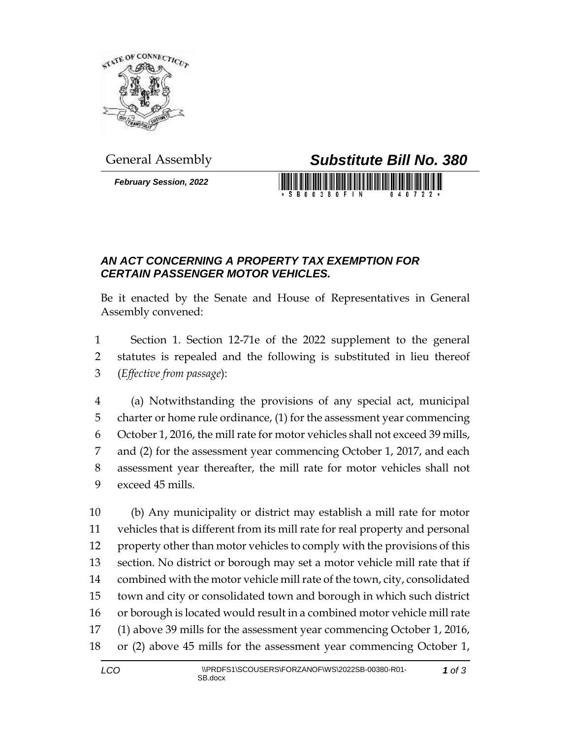

*February Session, 2022*

## General Assembly *Substitute Bill No. 380*

## *AN ACT CONCERNING A PROPERTY TAX EXEMPTION FOR CERTAIN PASSENGER MOTOR VEHICLES.*

Be it enacted by the Senate and House of Representatives in General Assembly convened:

 Section 1. Section 12-71e of the 2022 supplement to the general statutes is repealed and the following is substituted in lieu thereof (*Effective from passage*):

 (a) Notwithstanding the provisions of any special act, municipal charter or home rule ordinance, (1) for the assessment year commencing October 1, 2016, the mill rate for motor vehicles shall not exceed 39 mills, and (2) for the assessment year commencing October 1, 2017, and each assessment year thereafter, the mill rate for motor vehicles shall not exceed 45 mills.

 (b) Any municipality or district may establish a mill rate for motor vehicles that is different from its mill rate for real property and personal property other than motor vehicles to comply with the provisions of this section. No district or borough may set a motor vehicle mill rate that if combined with the motor vehicle mill rate of the town, city, consolidated town and city or consolidated town and borough in which such district 16 or borough is located would result in a combined motor vehicle mill rate (1) above 39 mills for the assessment year commencing October 1, 2016, or (2) above 45 mills for the assessment year commencing October 1,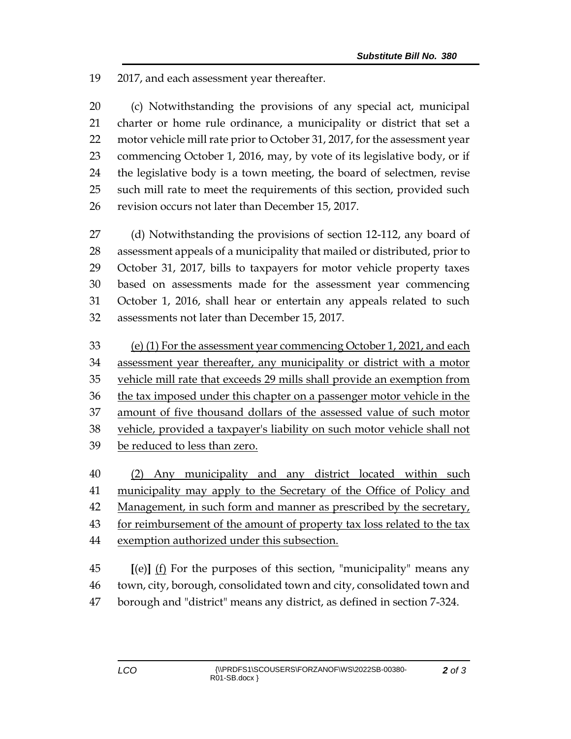2017, and each assessment year thereafter.

 (c) Notwithstanding the provisions of any special act, municipal charter or home rule ordinance, a municipality or district that set a motor vehicle mill rate prior to October 31, 2017, for the assessment year commencing October 1, 2016, may, by vote of its legislative body, or if the legislative body is a town meeting, the board of selectmen, revise such mill rate to meet the requirements of this section, provided such revision occurs not later than December 15, 2017.

 (d) Notwithstanding the provisions of section 12-112, any board of assessment appeals of a municipality that mailed or distributed, prior to October 31, 2017, bills to taxpayers for motor vehicle property taxes based on assessments made for the assessment year commencing October 1, 2016, shall hear or entertain any appeals related to such assessments not later than December 15, 2017.

- (e) (1) For the assessment year commencing October 1, 2021, and each assessment year thereafter, any municipality or district with a motor vehicle mill rate that exceeds 29 mills shall provide an exemption from the tax imposed under this chapter on a passenger motor vehicle in the amount of five thousand dollars of the assessed value of such motor vehicle, provided a taxpayer's liability on such motor vehicle shall not be reduced to less than zero.
- (2) Any municipality and any district located within such 41 municipality may apply to the Secretary of the Office of Policy and Management, in such form and manner as prescribed by the secretary, for reimbursement of the amount of property tax loss related to the tax exemption authorized under this subsection. **[**(e)**]** (f) For the purposes of this section, "municipality" means any
- town, city, borough, consolidated town and city, consolidated town and borough and "district" means any district, as defined in section 7-324.